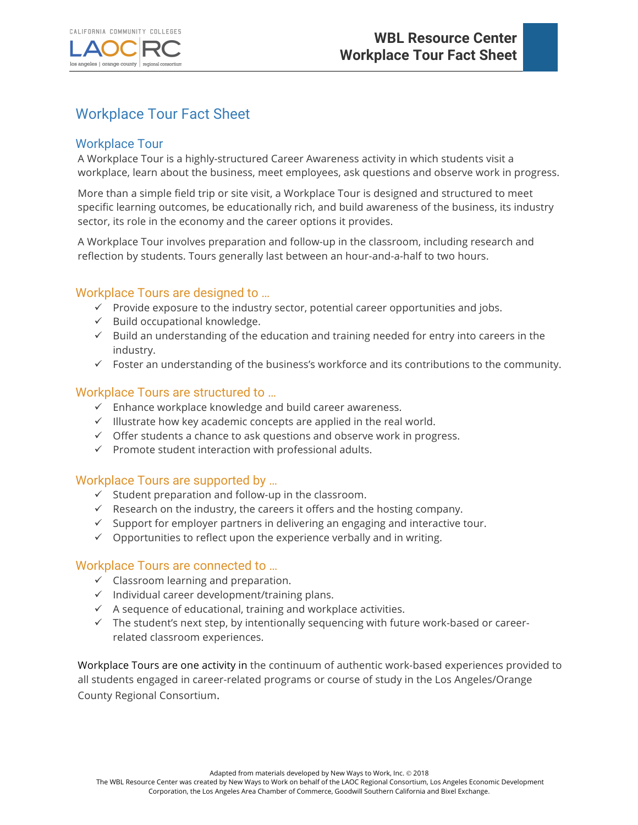



# Workplace Tour Fact Sheet

# Workplace Tour

A Workplace Tour is a highly-structured Career Awareness activity in which students visit a workplace, learn about the business, meet employees, ask questions and observe work in progress.

More than a simple field trip or site visit, a Workplace Tour is designed and structured to meet specific learning outcomes, be educationally rich, and build awareness of the business, its industry sector, its role in the economy and the career options it provides.

A Workplace Tour involves preparation and follow-up in the classroom, including research and reflection by students. Tours generally last between an hour-and-a-half to two hours.

# Workplace Tours are designed to …

- $\checkmark$  Provide exposure to the industry sector, potential career opportunities and jobs.
- $\checkmark$  Build occupational knowledge.
- $\checkmark$  Build an understanding of the education and training needed for entry into careers in the industry.
- $\checkmark$  Foster an understanding of the business's workforce and its contributions to the community.

### Workplace Tours are structured to …

- $\checkmark$  Enhance workplace knowledge and build career awareness.
- $\checkmark$  Illustrate how key academic concepts are applied in the real world.
- $\checkmark$  Offer students a chance to ask questions and observe work in progress.
- $\checkmark$  Promote student interaction with professional adults.

## Workplace Tours are supported by …

- $\checkmark$  Student preparation and follow-up in the classroom.
- $\checkmark$  Research on the industry, the careers it offers and the hosting company.
- $\checkmark$  Support for employer partners in delivering an engaging and interactive tour.
- $\checkmark$  Opportunities to reflect upon the experience verbally and in writing.

#### Workplace Tours are connected to …

- $\checkmark$  Classroom learning and preparation.
- $\checkmark$  Individual career development/training plans.
- $\checkmark$  A sequence of educational, training and workplace activities.
- $\checkmark$  The student's next step, by intentionally sequencing with future work-based or careerrelated classroom experiences.

Workplace Tours are one activity in the continuum of authentic work-based experiences provided to all students engaged in career-related programs or course of study in the Los Angeles/Orange County Regional Consortium.